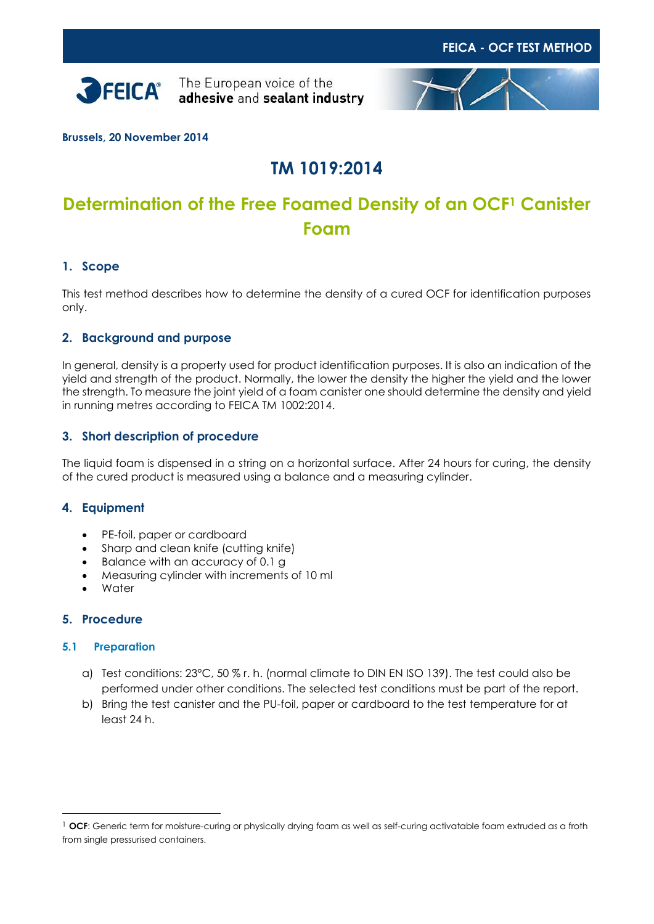



**Brussels, 20 November 2014**

# **TM 1019:2014**

# **Determination of the Free Foamed Density of an OCF<sup>1</sup> Canister Foam**

## **1. Scope**

This test method describes how to determine the density of a cured OCF for identification purposes only.

## **2. Background and purpose**

In general, density is a property used for product identification purposes. It is also an indication of the yield and strength of the product. Normally, the lower the density the higher the yield and the lower the strength. To measure the joint yield of a foam canister one should determine the density and yield in running metres according to FEICA TM 1002:2014.

### **3. Short description of procedure**

The liquid foam is dispensed in a string on a horizontal surface. After 24 hours for curing, the density of the cured product is measured using a balance and a measuring cylinder.

### **4. Equipment**

- PE-foil, paper or cardboard
- Sharp and clean knife (cutting knife)
- Balance with an accuracy of 0.1 g
- Measuring cylinder with increments of 10 ml
- **Water**

#### **5. Procedure**

 $\overline{a}$ 

#### **5.1 Preparation**

- a) Test conditions: 23°C, 50 % r. h. (normal climate to DIN EN ISO 139). The test could also be performed under other conditions. The selected test conditions must be part of the report.
- b) Bring the test canister and the PU-foil, paper or cardboard to the test temperature for at least 24 h.

<sup>1</sup> **OCF**: Generic term for moisture-curing or physically drying foam as well as self-curing activatable foam extruded as a froth from single pressurised containers.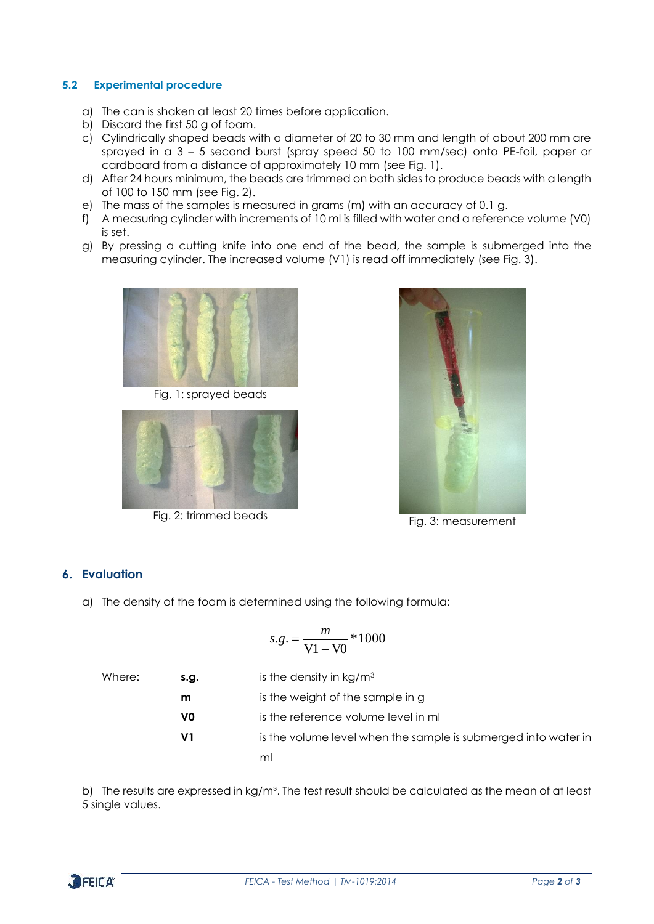#### **5.2 Experimental procedure**

- a) The can is shaken at least 20 times before application.
- b) Discard the first 50 g of foam.
- c) Cylindrically shaped beads with a diameter of 20 to 30 mm and length of about 200 mm are sprayed in a 3 – 5 second burst (spray speed 50 to 100 mm/sec) onto PE-foil, paper or cardboard from a distance of approximately 10 mm (see Fig. 1).
- d) After 24 hours minimum, the beads are trimmed on both sides to produce beads with a length of 100 to 150 mm (see Fig. 2).
- e) The mass of the samples is measured in grams (m) with an accuracy of 0.1 g.
- f) A measuring cylinder with increments of 10 ml is filled with water and a reference volume (V0) is set.
- g) By pressing a cutting knife into one end of the bead, the sample is submerged into the measuring cylinder. The increased volume (V1) is read off immediately (see Fig. 3).



Fig. 1: sprayed beads



Fig. 2: trimmed beads<br>
Fig. 3: measurement



## **6. Evaluation**

a) The density of the foam is determined using the following formula:

$$
s.g. = \frac{m}{\text{V1} - \text{V0}} * 1000
$$

| Where: | s.g. | is the density in $kg/m3$                                      |
|--------|------|----------------------------------------------------------------|
|        | m    | is the weight of the sample in g                               |
|        | V0   | is the reference volume level in ml                            |
|        | V1   | is the volume level when the sample is submerged into water in |
|        |      | ml                                                             |

b) The results are expressed in kg/m<sup>3</sup>. The test result should be calculated as the mean of at least 5 single values.